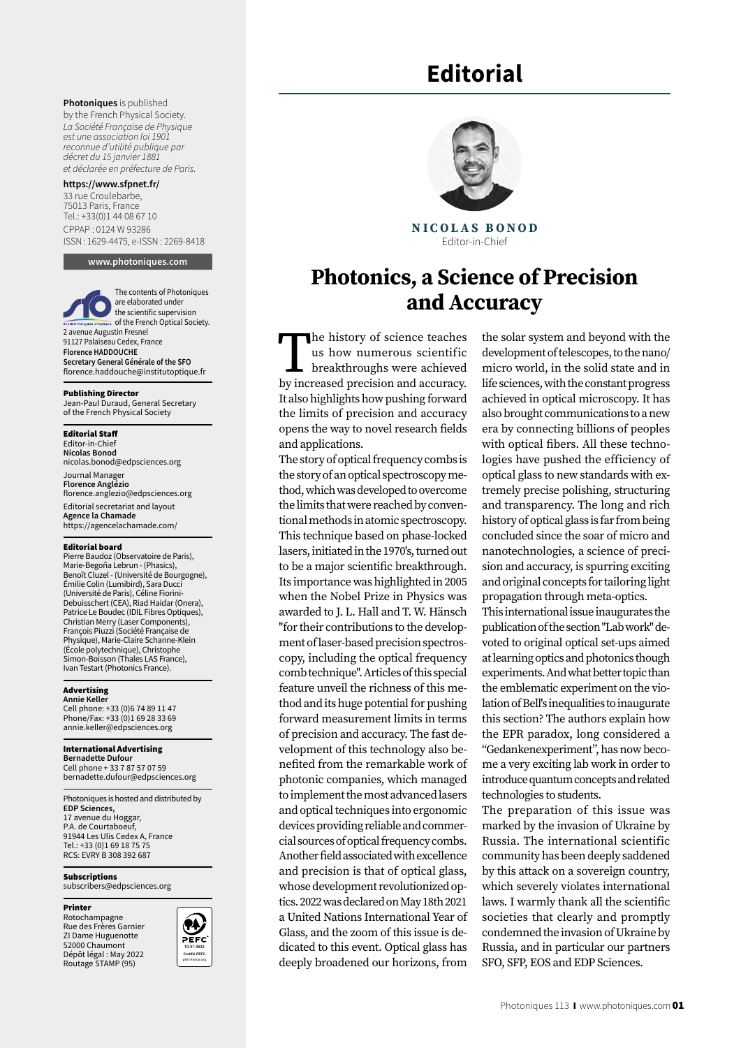# **Editorial**

**Photoniques** is published by the French Physical Society. *La Société Française de Physique est une association loi 1901 reconnue d'utilité publique par décret du 15 janvier 1881 et déclarée en préfecture de Paris.*

#### **https://www.sfpnet.fr/**

33 rue Croulebarbe, 75013 Paris, France Tel.: +33(0)1 44 08 67 10 CPPAP : 0124 W 93286 ISSN: 1629-4475, e-ISSN : 2269-8418

**www.photoniques.com**

The contents of Photoniques are elaborated under the scientific supervision of the French Optical Society. 2 avenue Augustin Fresnel 91127 Palaiseau Cedex, France **Florence HADDOUCHE Secretary General Générale of the SFO** [florence.haddouche@institutoptique.fr](mailto:florence.haddouche@institutoptique.fr)

#### Publishing Director

Jean-Paul Duraud, General Secretary of the French Physical Society

#### Editorial Staff

Editor-in-Chief **Nicolas Bonod**  nicolas.bonod@edpsciences.org Journal Manage **Florence Anglézio** florence.anglezio@edpsciences.org Editorial secretariat and layout **Agence la Chamade** [https://agencelachamade.com/](https://agencelachamade.com/
)

#### Editorial board

Pierre Baudoz (Observatoire de Paris), Marie-Begoña Lebrun - (Phasics), Benoît Cluzel - (Université de Bourgogne), Émilie Colin (Lumibird), Sara Ducci (Université de Paris), Céline Fiorini-Debuisschert (CEA), Riad Haidar (Onera), Patrice Le Boudec (IDIL Fibres Optiques), Christian Merry (Laser Components), François Piuzzi (Société Française de Physique), Marie-Claire Schanne-Klein (École polytechnique), Christophe Simon-Boisson (Thales LAS France), Ivan Testart (Photonics France).

#### Advertising **Annie Keller**

Cell phone: +33 (0)6 74 89 11 47 Phone/Fax: +33 (0)1 69 28 33 69 annie.keller@edpsciences.org

#### International Advertising

**Bernadette Dufour** Cell phone + 33 7 87 57 07 59 bernadette.dufour@edpsciences.org

Photoniques is hosted and distributed by **EDP Sciences,**  17 avenue du Hoggar, P.A. de Courtaboeuf, 91944 Les Ulis Cedex A, France Tel.: +33 (0)1 69 18 75 75 RCS: EVRY B 308 392 687

Subscriptions subscribers@edpsciences.org

#### Printer

Rotochampagne Rue des Frères Garnier ZI Dame Huguenotte 52000 Chaumont Dépôt légal : May 2022 Routage STAMP (95)





**NICOLAS BONOD** Editor-in-Chief

# **Photonics, a Science of Precision and Accuracy**

The history of science teaches us how numerous scientific breakthroughs were achieved by increased precision and accuracy. It also highlights how pushing forward the limits of precision and accuracy opens the way to novel research fields and applications.

The story of optical frequency combs is the story of an optical spectroscopy method, which was developed to overcome the limits that were reached by conventional methods in atomic spectroscopy. This technique based on phase-locked lasers, initiated in the 1970's, turned out to be a major scientific breakthrough. Its importance was highlighted in 2005 when the Nobel Prize in Physics was awarded to J. L. Hall and T. W. Hänsch "for their contributions to the development of laser-based precision spectroscopy, including the optical frequency comb technique". Articles of this special feature unveil the richness of this method and its huge potential for pushing forward measurement limits in terms of precision and accuracy. The fast development of this technology also benefited from the remarkable work of photonic companies, which managed to implement the most advanced lasers and optical techniques into ergonomic devices providing reliable and commercial sources of optical frequency combs. Another field associated with excellence and precision is that of optical glass, whose development revolutionized optics. 2022 was declared on May 18th 2021 a United Nations International Year of Glass, and the zoom of this issue is dedicated to this event. Optical glass has deeply broadened our horizons, from

the solar system and beyond with the development of telescopes, to the nano/ micro world, in the solid state and in life sciences, with the constant progress achieved in optical microscopy. It has also brought communications to a new era by connecting billions of peoples with optical fibers. All these technologies have pushed the efficiency of optical glass to new standards with extremely precise polishing, structuring and transparency. The long and rich history of optical glass is far from being concluded since the soar of micro and nanotechnologies, a science of precision and accuracy, is spurring exciting and original concepts for tailoring light propagation through meta-optics.

This international issue inaugurates the publication of the section "Lab work" devoted to original optical set-ups aimed at learning optics and photonics though experiments. And what better topic than the emblematic experiment on the violation of Bell's inequalities to inaugurate this section? The authors explain how the EPR paradox, long considered a "Gedankenexperiment", has now become a very exciting lab work in order to introduce quantum concepts and related technologies to students.

The preparation of this issue was marked by the invasion of Ukraine by Russia. The international scientific community has been deeply saddened by this attack on a sovereign country, which severely violates international laws. I warmly thank all the scientific societies that clearly and promptly condemned the invasion of Ukraine by Russia, and in particular our partners SFO, SFP, EOS and EDP Sciences.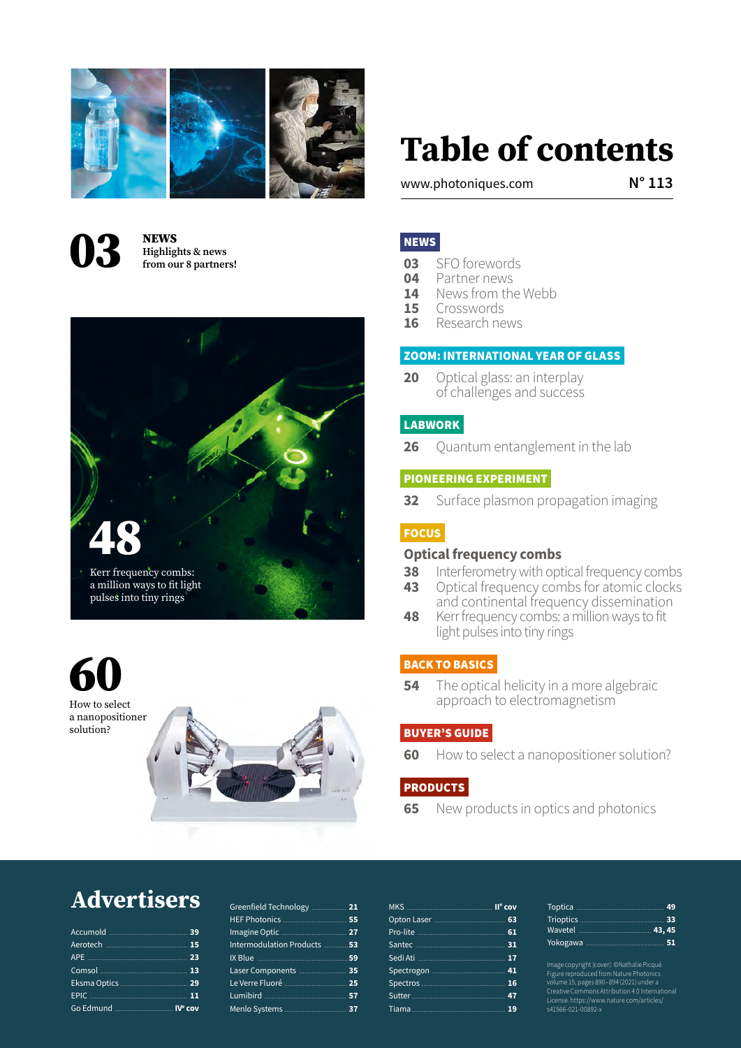



**Highlights & news from our 8 partners!**



60 How to select a nanopositioner solution?

# **Table of contents**

www.photoniques.com **N° 113**

## NEWS

- **03** SFO forewords<br>**04** Partner news
- **04** Partner news<br>**14** News from th
- **14** News from the Webb<br>**15** Crosswords
- 15 Crosswords<br>16 Research ne
- **16** Research news

# ZOOM: INTERNATIONAL YEAR OF GLASS

**20** Optical glass: an interplay of challenges and success

## LABWORK

**26** Quantum entanglement in the lab

## PIONEERING EXPERIMENT

**32** Surface plasmon propagation imaging

## **FOCUS**

#### **Optical frequency combs**

- **38** Interferometry with optical frequency combs
- **43** Optical frequency combs for atomic clocks and continental frequency dissemination
- **48** Kerr frequency combs: a million ways to fit light pulses into tiny rings

## BACK TO BASICS

**54** The optical helicity in a more algebraic approach to electromagnetism

#### BUYER'S GUIDE

**60** How to select a nanopositioner solution?

# **PRODUCTS**

**65** New products in optics and photonics

# **Advertisers**

| Go Edmund  IVe cov |  |
|--------------------|--|
|                    |  |

| Greenfield Technology  21 |    |
|---------------------------|----|
|                           |    |
|                           |    |
| Intermodulation Products  | 53 |
|                           |    |
| Laser Components  35      |    |
|                           |    |
|                           |    |
|                           |    |
|                           |    |

Image copyright (cover): ©Nathalie Picqué. Figure reproduced from Nature Photonics volume 15, pages 890–894 (2021) under a Creative Commons Attribution 4.0 International License. https://www.nature.com/articles/ s41566-021-00892-x